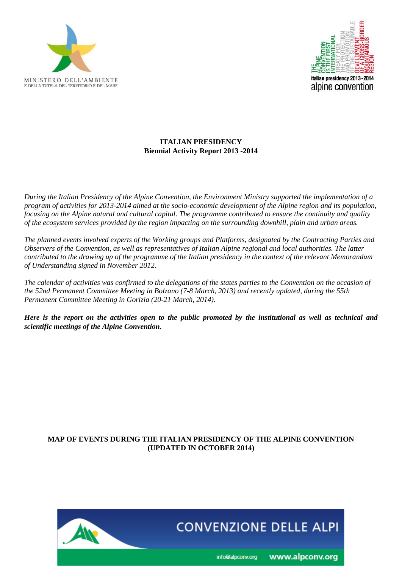



### **ITALIAN PRESIDENCY Biennial Activity Report 2013 -2014**

*During the Italian Presidency of the Alpine Convention, the Environment Ministry supported the implementation of a program of activities for 2013-2014 aimed at the socio-economic development of the Alpine region and its population, focusing on the Alpine natural and cultural capital. The programme contributed to ensure the continuity and quality of the ecosystem services provided by the region impacting on the surrounding downhill, plain and urban areas.*

*The planned events involved experts of the Working groups and Platforms, designated by the Contracting Parties and Observers of the Convention, as well as representatives of Italian Alpine regional and local authorities. The latter contributed to the drawing up of the programme of the Italian presidency in the context of the relevant Memorandum of Understanding signed in November 2012.*

*The calendar of activities was confirmed to the delegations of the states parties to the Convention on the occasion of the 52nd Permanent Committee Meeting in Bolzano (7-8 March, 2013) and recently updated, during the 55th Permanent Committee Meeting in Gorizia (20-21 March, 2014).*

*Here is the report on the activities open to the public promoted by the institutional as well as technical and scientific meetings of the Alpine Convention.* 

### **MAP OF EVENTS DURING THE ITALIAN PRESIDENCY OF THE ALPINE CONVENTION (UPDATED IN OCTOBER 2014)**

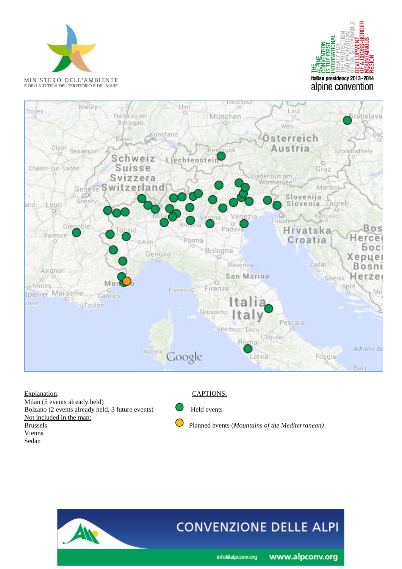





Milan (5 events already held) Bolzano (2 events already held, 3 future events) Held events Not included in the map:<br>Brussels Vienna Sedan

#### Explanation: CAPTIONS:

Planned events (*Mountains of the Mediterranean*)

# **CONVENZIONE DELLE ALPI**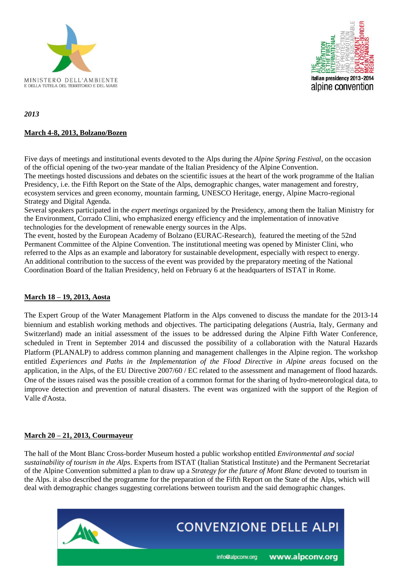



*2013*

### **March 4-8, 2013, Bolzano/Bozen**

Five days of meetings and institutional events devoted to the Alps during the *Alpine Spring Festival*, on the occasion of the official opening of the two-year mandate of the Italian Presidency of the Alpine Convention. The meetings hosted discussions and debates on the scientific issues at the heart of the work programme of the Italian Presidency, i.e. the Fifth Report on the State of the Alps, demographic changes, water management and forestry, ecosystem services and green economy, mountain farming, UNESCO Heritage, energy, Alpine Macro-regional Strategy and Digital Agenda.

Several speakers participated in the *expert meetings* organized by the Presidency, among them the Italian Ministry for the Environment, Corrado Clini, who emphasized energy efficiency and the implementation of innovative technologies for the development of renewable energy sources in the Alps.

The event, hosted by the European Academy of Bolzano (EURAC-Research), featured the meeting of the 52nd Permanent Committee of the Alpine Convention. The institutional meeting was opened by Minister Clini, who referred to the Alps as an example and laboratory for sustainable development, especially with respect to energy. An additional contribution to the success of the event was provided by the preparatory meeting of the National Coordination Board of the Italian Presidency, held on February 6 at the headquarters of ISTAT in Rome.

#### **March 18 – 19, 2013, Aosta**

The Expert Group of the Water Management Platform in the Alps convened to discuss the mandate for the 2013-14 biennium and establish working methods and objectives. The participating delegations (Austria, Italy, Germany and Switzerland) made an initial assessment of the issues to be addressed during the Alpine Fifth Water Conference, scheduled in Trent in September 2014 and discussed the possibility of a collaboration with the Natural Hazards Platform (PLANALP) to address common planning and management challenges in the Alpine region. The workshop entitled *Experiences and Paths in the Implementation of the Flood Directive in Alpine areas* focused on the application, in the Alps, of the EU Directive 2007/60 / EC related to the assessment and management of flood hazards. One of the issues raised was the possible creation of a common format for the sharing of hydro-meteorological data, to improve detection and prevention of natural disasters. The event was organized with the support of the Region of Valle d'Aosta.

#### **March 20 – 21, 2013, Courmayeur**

The hall of the Mont Blanc Cross-border Museum hosted a public workshop entitled *Environmental and social sustainability of tourism in the Alps*. Experts from ISTAT (Italian Statistical Institute) and the Permanent Secretariat of the Alpine Convention submitted a plan to draw up a *Strategy for the future of Mont Blanc* devoted to tourism in the Alps. it also described the programme for the preparation of the Fifth Report on the State of the Alps, which will deal with demographic changes suggesting correlations between tourism and the said demographic changes.

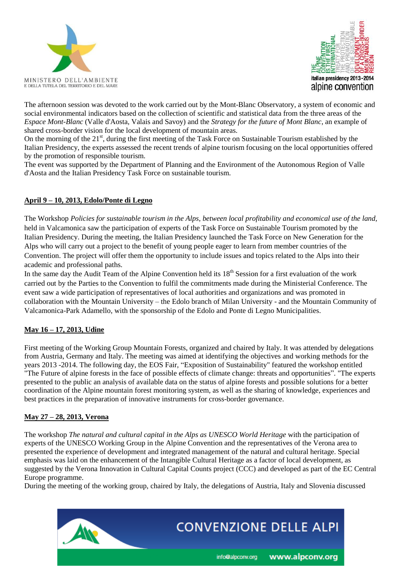



The afternoon session was devoted to the work carried out by the Mont-Blanc Observatory, a system of economic and social environmental indicators based on the collection of scientific and statistical data from the three areas of the *Espace Mont-Blanc* (Valle d'Aosta, Valais and Savoy) and the *Strategy for the future of Mont Blanc*, an example of shared cross-border vision for the local development of mountain areas.

On the morning of the  $21^{st}$ , during the first meeting of the Task Force on Sustainable Tourism established by the Italian Presidency, the experts assessed the recent trends of alpine tourism focusing on the local opportunities offered by the promotion of responsible tourism.

The event was supported by the Department of Planning and the Environment of the Autonomous Region of Valle d'Aosta and the Italian Presidency Task Force on sustainable tourism.

### **April 9 – 10, 2013, Edolo/Ponte di Legno**

The Workshop *Policies for sustainable tourism in the Alps, between local profitability and economical use of the land,* held in Valcamonica saw the participation of experts of the Task Force on Sustainable Tourism promoted by the Italian Presidency. During the meeting, the Italian Presidency launched the Task Force on New Generation for the Alps who will carry out a project to the benefit of young people eager to learn from member countries of the Convention. The project will offer them the opportunity to include issues and topics related to the Alps into their academic and professional paths.

In the same day the Audit Team of the Alpine Convention held its  $18<sup>th</sup>$  Session for a first evaluation of the work carried out by the Parties to the Convention to fulfil the commitments made during the Ministerial Conference. The event saw a wide participation of representatives of local authorities and organizations and was promoted in collaboration with the Mountain University – the Edolo branch of Milan University - and the Mountain Community of Valcamonica-Park Adamello, with the sponsorship of the Edolo and Ponte di Legno Municipalities.

#### **May 16 – 17, 2013, Udine**

First meeting of the Working Group Mountain Forests, organized and chaired by Italy. It was attended by delegations from Austria, Germany and Italy. The meeting was aimed at identifying the objectives and working methods for the years 2013 -2014. The following day, the EOS Fair, "Exposition of Sustainability" featured the workshop entitled "The Future of alpine forests in the face of possible effects of climate change: threats and opportunities". "The experts presented to the public an analysis of available data on the status of alpine forests and possible solutions for a better coordination of the Alpine mountain forest monitoring system, as well as the sharing of knowledge, experiences and best practices in the preparation of innovative instruments for cross-border governance.

#### **May 27 – 28, 2013, Verona**

The workshop *The natural and cultural capital in the Alps as UNESCO World Heritage* with the participation of experts of the UNESCO Working Group in the Alpine Convention and the representatives of the Verona area to presented the experience of development and integrated management of the natural and cultural heritage. Special emphasis was laid on the enhancement of the Intangible Cultural Heritage as a factor of local development, as suggested by the Verona Innovation in Cultural Capital Counts project (CCC) and developed as part of the EC Central Europe programme.

During the meeting of the working group, chaired by Italy, the delegations of Austria, Italy and Slovenia discussed

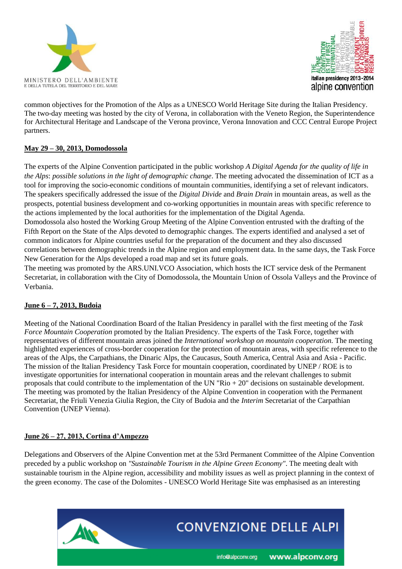



common objectives for the Promotion of the Alps as a UNESCO World Heritage Site during the Italian Presidency. The two-day meeting was hosted by the city of Verona, in collaboration with the Veneto Region, the Superintendence for Architectural Heritage and Landscape of the Verona province, Verona Innovation and CCC Central Europe Project partners.

#### **May 29 – 30, 2013, Domodossola**

The experts of the Alpine Convention participated in the public workshop *A Digital Agenda for the quality of life in the Alps*: *possible solutions in the light of demographic change*. The meeting advocated the dissemination of ICT as a tool for improving the socio-economic conditions of mountain communities, identifying a set of relevant indicators. The speakers specifically addressed the issue of the *Digital Divide* and *Brain Drain* in mountain areas, as well as the prospects, potential business development and co-working opportunities in mountain areas with specific reference to the actions implemented by the local authorities for the implementation of the Digital Agenda.

Domodossola also hosted the Working Group Meeting of the Alpine Convention entrusted with the drafting of the Fifth Report on the State of the Alps devoted to demographic changes. The experts identified and analysed a set of common indicators for Alpine countries useful for the preparation of the document and they also discussed correlations between demographic trends in the Alpine region and employment data. In the same days, the Task Force New Generation for the Alps developed a road map and set its future goals.

The meeting was promoted by the ARS.UNI.VCO Association, which hosts the ICT service desk of the Permanent Secretariat, in collaboration with the City of Domodossola, the Mountain Union of Ossola Valleys and the Province of Verbania.

# **June 6 – 7, 2013, Budoia**

Meeting of the National Coordination Board of the Italian Presidency in parallel with the first meeting of the *Task Force Mountain Cooperation* promoted by the Italian Presidency. The experts of the Task Force, together with representatives of different mountain areas joined the *International workshop on mountain cooperation.* The meeting highlighted experiences of cross-border cooperation for the protection of mountain areas, with specific reference to the areas of the Alps, the Carpathians, the Dinaric Alps, the Caucasus, South America, Central Asia and Asia - Pacific. The mission of the Italian Presidency Task Force for mountain cooperation, coordinated by UNEP / ROE is to investigate opportunities for international cooperation in mountain areas and the relevant challenges to submit proposals that could contribute to the implementation of the UN "Rio + 20" decisions on sustainable development. The meeting was promoted by the Italian Presidency of the Alpine Convention in cooperation with the Permanent Secretariat, the Friuli Venezia Giulia Region, the City of Budoia and the *Interim* Secretariat of the Carpathian Convention (UNEP Vienna).

#### **June 26 – 27, 2013, Cortina d'Ampezzo**

Delegations and Observers of the Alpine Convention met at the 53rd Permanent Committee of the Alpine Convention preceded by a public workshop on *"Sustainable Tourism in the Alpine Green Economy"*. The meeting dealt with sustainable tourism in the Alpine region, accessibility and mobility issues as well as project planning in the context of the green economy. The case of the Dolomites - UNESCO World Heritage Site was emphasised as an interesting

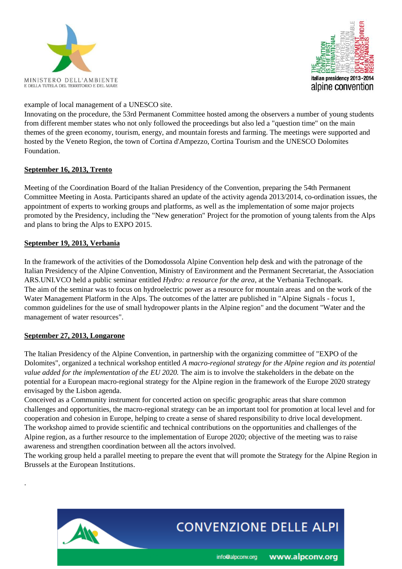



example of local management of a UNESCO site.

Innovating on the procedure, the 53rd Permanent Committee hosted among the observers a number of young students from different member states who not only followed the proceedings but also led a "question time" on the main themes of the green economy, tourism, energy, and mountain forests and farming. The meetings were supported and hosted by the Veneto Region, the town of Cortina d'Ampezzo, Cortina Tourism and the UNESCO Dolomites Foundation.

#### **September 16, 2013, Trento**

Meeting of the Coordination Board of the Italian Presidency of the Convention, preparing the 54th Permanent Committee Meeting in Aosta. Participants shared an update of the activity agenda 2013/2014, co-ordination issues, the appointment of experts to working groups and platforms, as well as the implementation of some major projects promoted by the Presidency, including the "New generation" Project for the promotion of young talents from the Alps and plans to bring the Alps to EXPO 2015.

#### **September 19, 2013, Verbania**

In the framework of the activities of the Domodossola Alpine Convention help desk and with the patronage of the Italian Presidency of the Alpine Convention, Ministry of Environment and the Permanent Secretariat, the Association ARS.UNI.VCO held a public seminar entitled *Hydro: a resource for the area,* at the Verbania Technopark. The aim of the seminar was to focus on hydroelectric power as a resource for mountain areas and on the work of the Water Management Platform in the Alps. The outcomes of the latter are published in "Alpine Signals - focus 1, common guidelines for the use of small hydropower plants in the Alpine region" and the document "Water and the management of water resources".

# **September 27, 2013, Longarone**

.

The Italian Presidency of the Alpine Convention, in partnership with the organizing committee of "EXPO of the Dolomites", organized a technical workshop entitled *A macro-regional strategy for the Alpine region and its potential value added for the implementation of the EU 2020.* The aim is to involve the stakeholders in the debate on the potential for a European macro-regional strategy for the Alpine region in the framework of the Europe 2020 strategy envisaged by the Lisbon agenda.

Conceived as a Community instrument for concerted action on specific geographic areas that share common challenges and opportunities, the macro-regional strategy can be an important tool for promotion at local level and for cooperation and cohesion in Europe, helping to create a sense of shared responsibility to drive local development. The workshop aimed to provide scientific and technical contributions on the opportunities and challenges of the Alpine region, as a further resource to the implementation of Europe 2020; objective of the meeting was to raise awareness and strengthen coordination between all the actors involved.

The working group held a parallel meeting to prepare the event that will promote the Strategy for the Alpine Region in Brussels at the European Institutions.

# **CONVENZIONE DELLE ALPI**

info@alpconv.org

www.alpconv.org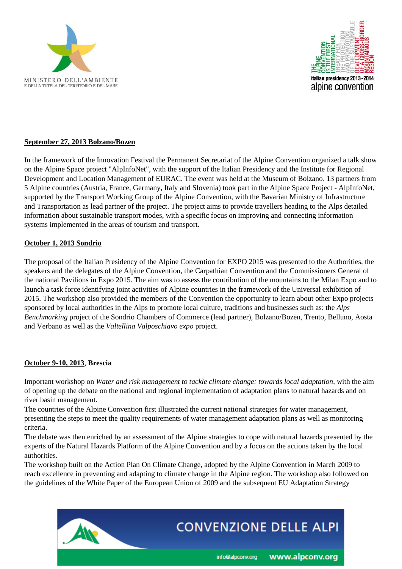



#### **September 27, 2013 Bolzano/Bozen**

In the framework of the Innovation Festival the Permanent Secretariat of the Alpine Convention organized a talk show on the Alpine Space project "AlpInfoNet", with the support of the Italian Presidency and the Institute for Regional Development and Location Management of EURAC. The event was held at the Museum of Bolzano. 13 partners from 5 Alpine countries (Austria, France, Germany, Italy and Slovenia) took part in the Alpine Space Project - AlpInfoNet, supported by the Transport Working Group of the Alpine Convention, with the Bavarian Ministry of Infrastructure and Transportation as lead partner of the project. The project aims to provide travellers heading to the Alps detailed information about sustainable transport modes, with a specific focus on improving and connecting information systems implemented in the areas of tourism and transport.

#### **October 1, 2013 Sondrio**

The proposal of the Italian Presidency of the Alpine Convention for EXPO 2015 was presented to the Authorities, the speakers and the delegates of the Alpine Convention, the Carpathian Convention and the Commissioners General of the national Pavilions in Expo 2015. The aim was to assess the contribution of the mountains to the Milan Expo and to launch a task force identifying joint activities of Alpine countries in the framework of the Universal exhibition of 2015. The workshop also provided the members of the Convention the opportunity to learn about other Expo projects sponsored by local authorities in the Alps to promote local culture, traditions and businesses such as: the *Alps Benchmarking* project of the Sondrio Chambers of Commerce (lead partner), Bolzano/Bozen, Trento, Belluno, Aosta and Verbano as well as the *Valtellina Valposchiavo expo* project.

#### **October 9-10, 2013**, **Brescia**

Important workshop on *Water and risk management to tackle climate change: towards local adaptation*, with the aim of opening up the debate on the national and regional implementation of adaptation plans to natural hazards and on river basin management.

The countries of the Alpine Convention first illustrated the current national strategies for water management, presenting the steps to meet the quality requirements of water management adaptation plans as well as monitoring criteria.

The debate was then enriched by an assessment of the Alpine strategies to cope with natural hazards presented by the experts of the Natural Hazards Platform of the Alpine Convention and by a focus on the actions taken by the local authorities.

The workshop built on the Action Plan On Climate Change, adopted by the Alpine Convention in March 2009 to reach excellence in preventing and adapting to climate change in the Alpine region. The workshop also followed on the guidelines of the White Paper of the European Union of 2009 and the subsequent EU Adaptation Strategy

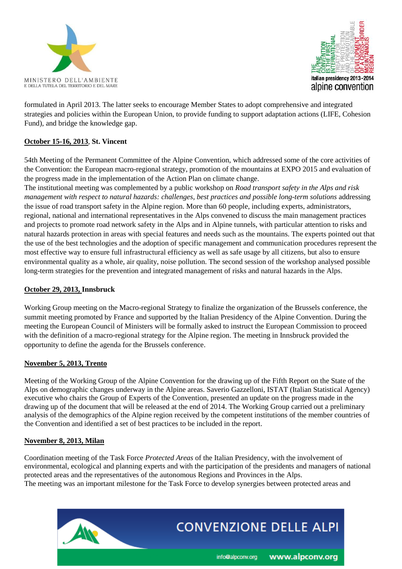



formulated in April 2013. The latter seeks to encourage Member States to adopt comprehensive and integrated strategies and policies within the European Union, to provide funding to support adaptation actions (LIFE, Cohesion Fund), and bridge the knowledge gap.

#### **October 15-16, 2013**, **St. Vincent**

54th Meeting of the Permanent Committee of the Alpine Convention, which addressed some of the core activities of the Convention: the European macro-regional strategy, promotion of the mountains at EXPO 2015 and evaluation of the progress made in the implementation of the Action Plan on climate change.

The institutional meeting was complemented by a public workshop on *Road transport safety in the Alps and risk management with respect to natural hazards: challenges, best practices and possible long-term solutions* addressing the issue of road transport safety in the Alpine region. More than 60 people, including experts, administrators, regional, national and international representatives in the Alps convened to discuss the main management practices and projects to promote road network safety in the Alps and in Alpine tunnels, with particular attention to risks and natural hazards protection in areas with special features and needs such as the mountains. The experts pointed out that the use of the best technologies and the adoption of specific management and communication procedures represent the most effective way to ensure full infrastructural efficiency as well as safe usage by all citizens, but also to ensure environmental quality as a whole, air quality, noise pollution. The second session of the workshop analysed possible long-term strategies for the prevention and integrated management of risks and natural hazards in the Alps.

#### **October 29, 2013, Innsbruck**

Working Group meeting on the Macro-regional Strategy to finalize the organization of the Brussels conference, the summit meeting promoted by France and supported by the Italian Presidency of the Alpine Convention. During the meeting the European Council of Ministers will be formally asked to instruct the European Commission to proceed with the definition of a macro-regional strategy for the Alpine region. The meeting in Innsbruck provided the opportunity to define the agenda for the Brussels conference.

#### **November 5, 2013, Trento**

Meeting of the Working Group of the Alpine Convention for the drawing up of the Fifth Report on the State of the Alps on demographic changes underway in the Alpine areas. Saverio Gazzelloni, ISTAT (Italian Statistical Agency) executive who chairs the Group of Experts of the Convention, presented an update on the progress made in the drawing up of the document that will be released at the end of 2014. The Working Group carried out a preliminary analysis of the demographics of the Alpine region received by the competent institutions of the member countries of the Convention and identified a set of best practices to be included in the report.

#### **November 8, 2013, Milan**

Coordination meeting of the Task Force *Protected Areas* of the Italian Presidency, with the involvement of environmental, ecological and planning experts and with the participation of the presidents and managers of national protected areas and the representatives of the autonomous Regions and Provinces in the Alps. The meeting was an important milestone for the Task Force to develop synergies between protected areas and

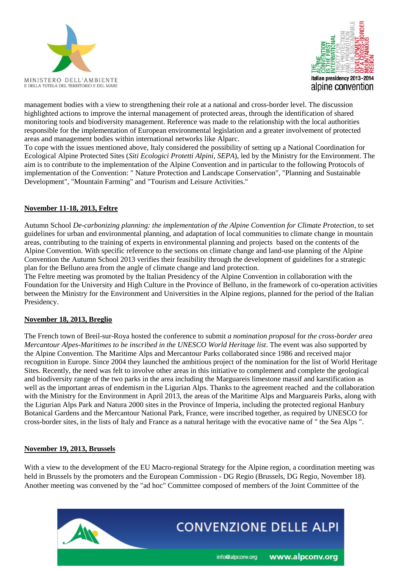



management bodies with a view to strengthening their role at a national and cross-border level. The discussion highlighted actions to improve the internal management of protected areas, through the identification of shared monitoring tools and biodiversity management. Reference was made to the relationship with the local authorities responsible for the implementation of European environmental legislation and a greater involvement of protected areas and management bodies within international networks like Alparc.

To cope with the issues mentioned above, Italy considered the possibility of setting up a National Coordination for Ecological Alpine Protected Sites (*Siti Ecologici Protetti Alpini, SEPA*), led by the Ministry for the Environment. The aim is to contribute to the implementation of the Alpine Convention and in particular to the following Protocols of implementation of the Convention: " Nature Protection and Landscape Conservation", "Planning and Sustainable Development", "Mountain Farming" and "Tourism and Leisure Activities."

#### **November 11-18, 2013, Feltre**

Autumn School *De-carbonizing planning: the implementation of the Alpine Convention for Climate Protection*, to set guidelines for urban and environmental planning, and adaptation of local communities to climate change in mountain areas, contributing to the training of experts in environmental planning and projects based on the contents of the Alpine Convention. With specific reference to the sections on climate change and land-use planning of the Alpine Convention the Autumn School 2013 verifies their feasibility through the development of guidelines for a strategic plan for the Belluno area from the angle of climate change and land protection.

The Feltre meeting was promoted by the Italian Presidency of the Alpine Convention in collaboration with the Foundation for the University and High Culture in the Province of Belluno, in the framework of co-operation activities between the Ministry for the Environment and Universities in the Alpine regions, planned for the period of the Italian Presidency.

#### **November 18, 2013, Breglio**

The French town of Breil-sur-Roya hosted the conference to submit *a nomination proposal* for *the cross-border area Mercantour Alpes-Maritimes to be inscribed in the UNESCO World Heritage list*. The event was also supported by the Alpine Convention. The Maritime Alps and Mercantour Parks collaborated since 1986 and received major recognition in Europe. Since 2004 they launched the ambitious project of the nomination for the list of World Heritage Sites. Recently, the need was felt to involve other areas in this initiative to complement and complete the geological and biodiversity range of the two parks in the area including the Marguareis limestone massif and karstification as well as the important areas of endemism in the Ligurian Alps. Thanks to the agreement reached and the collaboration with the Ministry for the Environment in April 2013, the areas of the Maritime Alps and Marguareis Parks, along with the Ligurian Alps Park and Natura 2000 sites in the Province of Imperia, including the protected regional Hanbury Botanical Gardens and the Mercantour National Park, France, were inscribed together, as required by UNESCO for cross-border sites, in the lists of Italy and France as a natural heritage with the evocative name of " the Sea Alps ".

#### **November 19, 2013, Brussels**

With a view to the development of the EU Macro-regional Strategy for the Alpine region, a coordination meeting was held in Brussels by the promoters and the European Commission - DG Regio (Brussels, DG Regio, November 18). Another meeting was convened by the "ad hoc" Committee composed of members of the Joint Committee of the

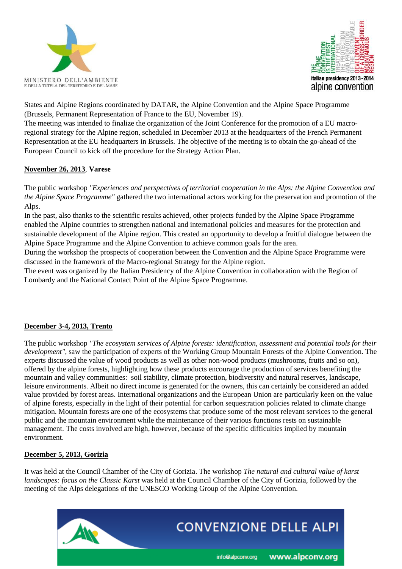



States and Alpine Regions coordinated by DATAR, the Alpine Convention and the Alpine Space Programme (Brussels, Permanent Representation of France to the EU, November 19).

The meeting was intended to finalize the organization of the Joint Conference for the promotion of a EU macroregional strategy for the Alpine region, scheduled in December 2013 at the headquarters of the French Permanent Representation at the EU headquarters in Brussels. The objective of the meeting is to obtain the go-ahead of the European Council to kick off the procedure for the Strategy Action Plan.

#### **November 26, 2013**, **Varese**

The public workshop *"Experiences and perspectives of territorial cooperation in the Alps: the Alpine Convention and the Alpine Space Programme"* gathered the two international actors working for the preservation and promotion of the Alps.

In the past, also thanks to the scientific results achieved, other projects funded by the Alpine Space Programme enabled the Alpine countries to strengthen national and international policies and measures for the protection and sustainable development of the Alpine region. This created an opportunity to develop a fruitful dialogue between the Alpine Space Programme and the Alpine Convention to achieve common goals for the area.

During the workshop the prospects of cooperation between the Convention and the Alpine Space Programme were discussed in the framework of the Macro-regional Strategy for the Alpine region.

The event was organized by the Italian Presidency of the Alpine Convention in collaboration with the Region of Lombardy and the National Contact Point of the Alpine Space Programme.

# **December 3-4, 2013, Trento**

The public workshop *"The ecosystem services of Alpine forests: identification, assessment and potential tools for their development"*, saw the participation of experts of the Working Group Mountain Forests of the Alpine Convention. The experts discussed the value of wood products as well as other non-wood products (mushrooms, fruits and so on), offered by the alpine forests, highlighting how these products encourage the production of services benefiting the mountain and valley communities: soil stability, climate protection, biodiversity and natural reserves, landscape, leisure environments. Albeit no direct income is generated for the owners, this can certainly be considered an added value provided by forest areas. International organizations and the European Union are particularly keen on the value of alpine forests, especially in the light of their potential for carbon sequestration policies related to climate change mitigation. Mountain forests are one of the ecosystems that produce some of the most relevant services to the general public and the mountain environment while the maintenance of their various functions rests on sustainable management. The costs involved are high, however, because of the specific difficulties implied by mountain environment.

#### **December 5, 2013, Gorizia**

It was held at the Council Chamber of the City of Gorizia. The workshop *The natural and cultural value of karst landscapes: focus on the Classic Karst* was held at the Council Chamber of the City of Gorizia, followed by the meeting of the Alps delegations of the UNESCO Working Group of the Alpine Convention.

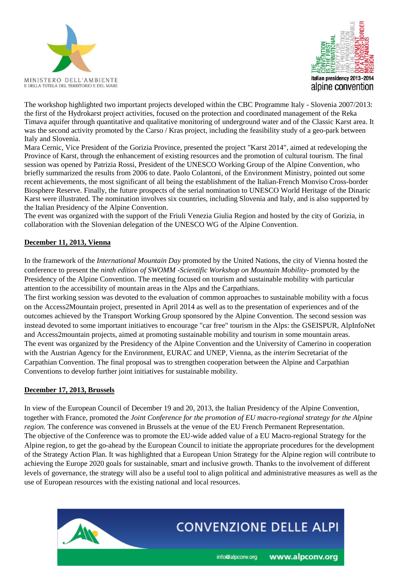



The workshop highlighted two important projects developed within the CBC Programme Italy - Slovenia 2007/2013: the first of the Hydrokarst project activities, focused on the protection and coordinated management of the Reka Timava aquifer through quantitative and qualitative monitoring of underground water and of the Classic Karst area. It was the second activity promoted by the Carso / Kras project, including the feasibility study of a geo-park between Italy and Slovenia.

Mara Cernic, Vice President of the Gorizia Province, presented the project "Karst 2014", aimed at redeveloping the Province of Karst, through the enhancement of existing resources and the promotion of cultural tourism. The final session was opened by Patrizia Rossi, President of the UNESCO Working Group of the Alpine Convention, who briefly summarized the results from 2006 to date. Paolo Colantoni, of the Environment Ministry, pointed out some recent achievements, the most significant of all being the establishment of the Italian-French Monviso Cross-border Biosphere Reserve. Finally, the future prospects of the serial nomination to UNESCO World Heritage of the Dinaric Karst were illustrated. The nomination involves six countries, including Slovenia and Italy, and is also supported by the Italian Presidency of the Alpine Convention.

The event was organized with the support of the Friuli Venezia Giulia Region and hosted by the city of Gorizia, in collaboration with the Slovenian delegation of the UNESCO WG of the Alpine Convention.

### **December 11, 2013, Vienna**

In the framework of the *International Mountain Day* promoted by the United Nations, the city of Vienna hosted the conference to present the *ninth edition of SWOMM -Scientific Workshop on Mountain Mobility*- promoted by the Presidency of the Alpine Convention. The meeting focused on tourism and sustainable mobility with particular attention to the accessibility of mountain areas in the Alps and the Carpathians.

The first working session was devoted to the evaluation of common approaches to sustainable mobility with a focus on the Access2Mountain project, presented in April 2014 as well as to the presentation of experiences and of the outcomes achieved by the Transport Working Group sponsored by the Alpine Convention. The second session was instead devoted to some important initiatives to encourage "car free" tourism in the Alps: the GSEISPUR, AlpInfoNet and Access2mountain projects, aimed at promoting sustainable mobility and tourism in some mountain areas. The event was organized by the Presidency of the Alpine Convention and the University of Camerino in cooperation with the Austrian Agency for the Environment, EURAC and UNEP, Vienna, as the *interim* Secretariat of the Carpathian Convention. The final proposal was to strengthen cooperation between the Alpine and Carpathian Conventions to develop further joint initiatives for sustainable mobility.

#### **December 17, 2013, Brussels**

In view of the European Council of December 19 and 20, 2013, the Italian Presidency of the Alpine Convention, together with France, promoted the *Joint Conference for the promotion of EU macro-regional strategy for the Alpine region.* The conference was convened in Brussels at the venue of the EU French Permanent Representation. The objective of the Conference was to promote the EU-wide added value of a EU Macro-regional Strategy for the Alpine region, to get the go-ahead by the European Council to initiate the appropriate procedures for the development of the Strategy Action Plan. It was highlighted that a European Union Strategy for the Alpine region will contribute to achieving the Europe 2020 goals for sustainable, smart and inclusive growth. Thanks to the involvement of different levels of governance, the strategy will also be a useful tool to align political and administrative measures as well as the use of European resources with the existing national and local resources.



info@alpconv.org

www.alpconv.org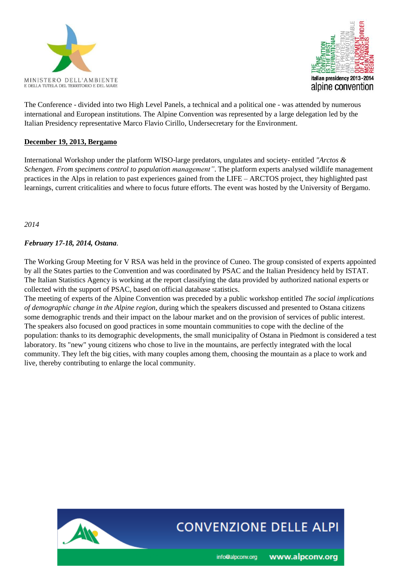



The Conference - divided into two High Level Panels, a technical and a political one - was attended by numerous international and European institutions. The Alpine Convention was represented by a large delegation led by the Italian Presidency representative Marco Flavio Cirillo, Undersecretary for the Environment.

#### **December 19, 2013, Bergamo**

International Workshop under the platform WISO-large predators, ungulates and society- entitled *"Arctos & Schengen. From specimens control to population management"*. The platform experts analysed wildlife management practices in the Alps in relation to past experiences gained from the LIFE – ARCTOS project, they highlighted past learnings, current criticalities and where to focus future efforts. The event was hosted by the University of Bergamo.

*2014*

### *February 17-18, 2014, Ostana*.

The Working Group Meeting for V RSA was held in the province of Cuneo. The group consisted of experts appointed by all the States parties to the Convention and was coordinated by PSAC and the Italian Presidency held by ISTAT. The Italian Statistics Agency is working at the report classifying the data provided by authorized national experts or collected with the support of PSAC, based on official database statistics.

The meeting of experts of the Alpine Convention was preceded by a public workshop entitled *The social implications of demographic change in the Alpine region*, during which the speakers discussed and presented to Ostana citizens some demographic trends and their impact on the labour market and on the provision of services of public interest. The speakers also focused on good practices in some mountain communities to cope with the decline of the population: thanks to its demographic developments, the small municipality of Ostana in Piedmont is considered a test laboratory. Its "new" young citizens who chose to live in the mountains, are perfectly integrated with the local community. They left the big cities, with many couples among them, choosing the mountain as a place to work and live, thereby contributing to enlarge the local community.



# **CONVENZIONE DELLE ALPI**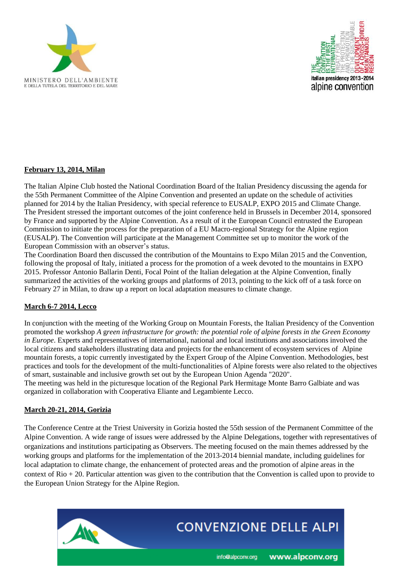



### **February 13, 2014, Milan**

The Italian Alpine Club hosted the National Coordination Board of the Italian Presidency discussing the agenda for the 55th Permanent Committee of the Alpine Convention and presented an update on the schedule of activities planned for 2014 by the Italian Presidency, with special reference to EUSALP, EXPO 2015 and Climate Change. The President stressed the important outcomes of the joint conference held in Brussels in December 2014, sponsored by France and supported by the Alpine Convention. As a result of it the European Council entrusted the European Commission to initiate the process for the preparation of a EU Macro-regional Strategy for the Alpine region (EUSALP). The Convention will participate at the Management Committee set up to monitor the work of the European Commission with an observer's status.

The Coordination Board then discussed the contribution of the Mountains to Expo Milan 2015 and the Convention, following the proposal of Italy, initiated a process for the promotion of a week devoted to the mountains in EXPO 2015. Professor Antonio Ballarin Denti, Focal Point of the Italian delegation at the Alpine Convention, finally summarized the activities of the working groups and platforms of 2013, pointing to the kick off of a task force on February 27 in Milan, to draw up a report on local adaptation measures to climate change.

#### **March 6-7 2014, Lecco**

In conjunction with the meeting of the Working Group on Mountain Forests, the Italian Presidency of the Convention promoted the workshop *A* g*reen infrastructure for growth: the potential role of alpine forests in the Green Economy in Europe*. Experts and representatives of international, national and local institutions and associations involved the local citizens and stakeholders illustrating data and projects for the enhancement of ecosystem services of Alpine mountain forests, a topic currently investigated by the Expert Group of the Alpine Convention. Methodologies, best practices and tools for the development of the multi-functionalities of Alpine forests were also related to the objectives of smart, sustainable and inclusive growth set out by the European Union Agenda "2020".

The meeting was held in the picturesque location of the Regional Park Hermitage Monte Barro Galbiate and was organized in collaboration with Cooperativa Eliante and Legambiente Lecco.

#### **March 20-21, 2014, Gorizia**

The Conference Centre at the Triest University in Gorizia hosted the 55th session of the Permanent Committee of the Alpine Convention. A wide range of issues were addressed by the Alpine Delegations, together with representatives of organizations and institutions participating as Observers. The meeting focused on the main themes addressed by the working groups and platforms for the implementation of the 2013-2014 biennial mandate, including guidelines for local adaptation to climate change, the enhancement of protected areas and the promotion of alpine areas in the context of Rio + 20. Particular attention was given to the contribution that the Convention is called upon to provide to the European Union Strategy for the Alpine Region.

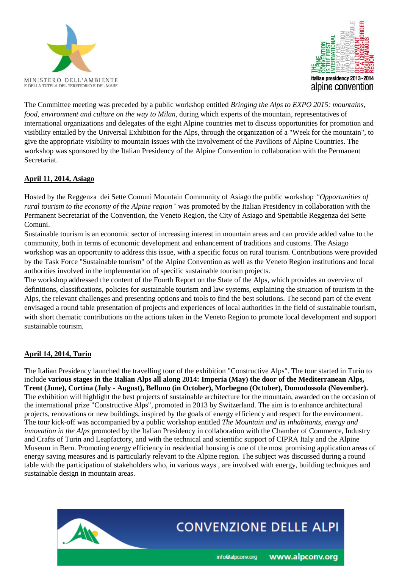



The Committee meeting was preceded by a public workshop entitled *Bringing the Alps to EXPO 2015: mountains, food, environment and culture on the way to Milan,* during which experts of the mountain, representatives of international organizations and delegates of the eight Alpine countries met to discuss opportunities for promotion and visibility entailed by the Universal Exhibition for the Alps, through the organization of a "Week for the mountain", to give the appropriate visibility to mountain issues with the involvement of the Pavilions of Alpine Countries. The workshop was sponsored by the Italian Presidency of the Alpine Convention in collaboration with the Permanent **Secretariat** 

# **April 11, 2014, Asiago**

Hosted by the Reggenza dei Sette Comuni Mountain Community of Asiago the public workshop *"Opportunities of rural tourism to the economy of the Alpine region"* was promoted by the Italian Presidency in collaboration with the Permanent Secretariat of the Convention, the Veneto Region, the City of Asiago and Spettabile Reggenza dei Sette Comuni.

Sustainable tourism is an economic sector of increasing interest in mountain areas and can provide added value to the community, both in terms of economic development and enhancement of traditions and customs. The Asiago workshop was an opportunity to address this issue, with a specific focus on rural tourism. Contributions were provided by the Task Force "Sustainable tourism" of the Alpine Convention as well as the Veneto Region institutions and local authorities involved in the implementation of specific sustainable tourism projects.

The workshop addressed the content of the Fourth Report on the State of the Alps, which provides an overview of definitions, classifications, policies for sustainable tourism and law systems, explaining the situation of tourism in the Alps, the relevant challenges and presenting options and tools to find the best solutions. The second part of the event envisaged a round table presentation of projects and experiences of local authorities in the field of sustainable tourism, with short thematic contributions on the actions taken in the Veneto Region to promote local development and support sustainable tourism.

# **April 14, 2014, Turin**

The Italian Presidency launched the travelling tour of the exhibition "Constructive Alps". The tour started in Turin to include **various stages in the Italian Alps all along 2014: Imperia (May) the door of the Mediterranean Alps, Trent (June), Cortina (July - August), Belluno (in October), Morbegno (October), Domodossola (November).** The exhibition will highlight the best projects of sustainable architecture for the mountain, awarded on the occasion of the international prize "Constructive Alps", promoted in 2013 by Switzerland. The aim is to enhance architectural projects, renovations or new buildings, inspired by the goals of energy efficiency and respect for the environment. The tour kick-off was accompanied by a public workshop entitled *The Mountain and its inhabitants, energy and innovation in the Alps* promoted by the Italian Presidency in collaboration with the Chamber of Commerce, Industry and Crafts of Turin and Leapfactory, and with the technical and scientific support of CIPRA Italy and the Alpine Museum in Bern. Promoting energy efficiency in residential housing is one of the most promising application areas of energy saving measures and is particularly relevant to the Alpine region. The subject was discussed during a round table with the participation of stakeholders who, in various ways , are involved with energy, building techniques and sustainable design in mountain areas.

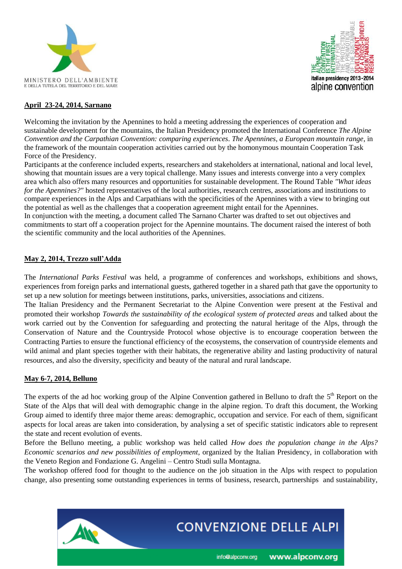



#### **April 23-24, 2014, Sarnano**

Welcoming the invitation by the Apennines to hold a meeting addressing the experiences of cooperation and sustainable development for the mountains, the Italian Presidency promoted the International Conference *The Alpine Convention and the Carpathian Convention: comparing experiences*. *The Apennines, a European mountain range*, in the framework of the mountain cooperation activities carried out by the homonymous mountain Cooperation Task Force of the Presidency.

Participants at the conference included experts, researchers and stakeholders at international, national and local level, showing that mountain issues are a very topical challenge. Many issues and interests converge into a very complex area which also offers many resources and opportunities for sustainable development. The Round Table *"What ideas for the Apennines?"* hosted representatives of the local authorities, research centres, associations and institutions to compare experiences in the Alps and Carpathians with the specificities of the Apennines with a view to bringing out the potential as well as the challenges that a cooperation agreement might entail for the Apennines.

In conjunction with the meeting, a document called The Sarnano Charter was drafted to set out objectives and commitments to start off a cooperation project for the Apennine mountains. The document raised the interest of both the scientific community and the local authorities of the Apennines.

#### **May 2, 2014, Trezzo sull'Adda**

The *International Parks Festival* was held, a programme of conferences and workshops, exhibitions and shows, experiences from foreign parks and international guests, gathered together in a shared path that gave the opportunity to set up a new solution for meetings between institutions, parks, universities, associations and citizens.

The Italian Presidency and the Permanent Secretariat to the Alpine Convention were present at the Festival and promoted their workshop *Towards the sustainability of the ecological system of protected areas* and talked about the work carried out by the Convention for safeguarding and protecting the natural heritage of the Alps, through the Conservation of Nature and the Countryside Protocol whose objective is to encourage cooperation between the Contracting Parties to ensure the functional efficiency of the ecosystems, the conservation of countryside elements and wild animal and plant species together with their habitats, the regenerative ability and lasting productivity of natural resources, and also the diversity, specificity and beauty of the natural and rural landscape.

#### **May 6-7, 2014, Belluno**

The experts of the ad hoc working group of the Alpine Convention gathered in Belluno to draft the  $5<sup>th</sup>$  Report on the State of the Alps that will deal with demographic change in the alpine region. To draft this document, the Working Group aimed to identify three major theme areas: demographic, occupation and service. For each of them, significant aspects for local areas are taken into consideration, by analysing a set of specific statistic indicators able to represent the state and recent evolution of events.

Before the Belluno meeting, a public workshop was held called *How does the population change in the Alps? Economic scenarios and new possibilities of employment*, organized by the Italian Presidency, in collaboration with the Veneto Region and Fondazione G. Angelini – Centro Studi sulla Montagna.

The workshop offered food for thought to the audience on the job situation in the Alps with respect to population change, also presenting some outstanding experiences in terms of business, research, partnerships and sustainability,

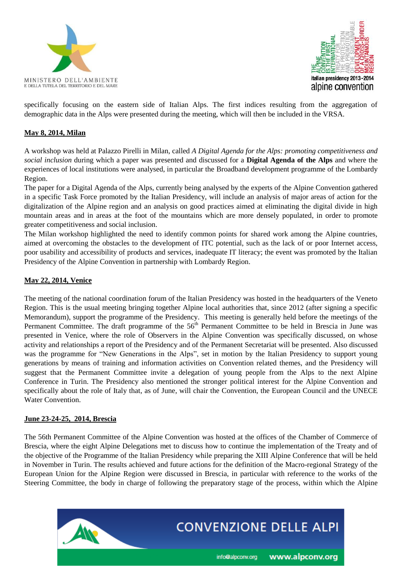



specifically focusing on the eastern side of Italian Alps. The first indices resulting from the aggregation of demographic data in the Alps were presented during the meeting, which will then be included in the VRSA.

#### **May 8, 2014, Milan**

A workshop was held at Palazzo Pirelli in Milan, called *A Digital Agenda for the Alps: promoting competitiveness and social inclusion* during which a paper was presented and discussed for a **Digital Agenda of the Alps** and where the experiences of local institutions were analysed, in particular the Broadband development programme of the Lombardy Region.

The paper for a Digital Agenda of the Alps, currently being analysed by the experts of the Alpine Convention gathered in a specific Task Force promoted by the Italian Presidency, will include an analysis of major areas of action for the digitalization of the Alpine region and an analysis on good practices aimed at eliminating the digital divide in high mountain areas and in areas at the foot of the mountains which are more densely populated, in order to promote greater competitiveness and social inclusion.

The Milan workshop highlighted the need to identify common points for shared work among the Alpine countries, aimed at overcoming the obstacles to the development of ITC potential, such as the lack of or poor Internet access, poor usability and accessibility of products and services, inadequate IT literacy; the event was promoted by the Italian Presidency of the Alpine Convention in partnership with Lombardy Region.

#### **May 22, 2014, Venice**

The meeting of the national coordination forum of the Italian Presidency was hosted in the headquarters of the Veneto Region. This is the usual meeting bringing together Alpine local authorities that, since 2012 (after signing a specific Memorandum), support the programme of the Presidency. This meeting is generally held before the meetings of the Permanent Committee. The draft programme of the 56<sup>th</sup> Permanent Committee to be held in Brescia in June was presented in Venice, where the role of Observers in the Alpine Convention was specifically discussed, on whose activity and relationships a report of the Presidency and of the Permanent Secretariat will be presented. Also discussed was the programme for "New Generations in the Alps", set in motion by the Italian Presidency to support young generations by means of training and information activities on Convention related themes, and the Presidency will suggest that the Permanent Committee invite a delegation of young people from the Alps to the next Alpine Conference in Turin. The Presidency also mentioned the stronger political interest for the Alpine Convention and specifically about the role of Italy that, as of June, will chair the Convention, the European Council and the UNECE Water Convention.

#### **June 23-24-25, 2014, Brescia**

The 56th Permanent Committee of the Alpine Convention was hosted at the offices of the Chamber of Commerce of Brescia, where the eight Alpine Delegations met to discuss how to continue the implementation of the Treaty and of the objective of the Programme of the Italian Presidency while preparing the XIII Alpine Conference that will be held in November in Turin. The results achieved and future actions for the definition of the Macro-regional Strategy of the European Union for the Alpine Region were discussed in Brescia, in particular with reference to the works of the Steering Committee, the body in charge of following the preparatory stage of the process, within which the Alpine

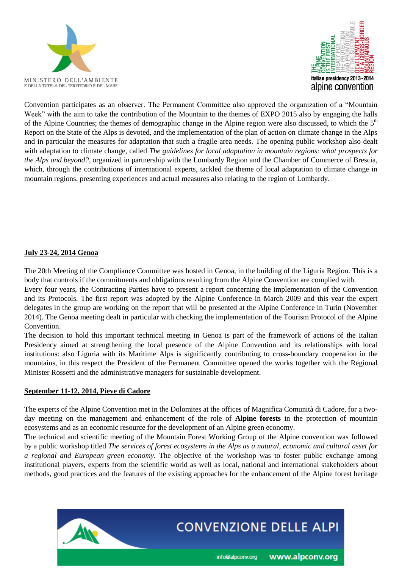



Convention participates as an observer. The Permanent Committee also approved the organization of a "Mountain Week" with the aim to take the contribution of the Mountain to the themes of EXPO 2015 also by engaging the halls of the Alpine Countries; the themes of demographic change in the Alpine region were also discussed, to which the  $5<sup>th</sup>$ Report on the State of the Alps is devoted, and the implementation of the plan of action on climate change in the Alps and in particular the measures for adaptation that such a fragile area needs. The opening public workshop also dealt with adaptation to climate change, called *The guidelines for local adaptation in mountain regions: what prospects for the Alps and beyond?*, organized in partnership with the Lombardy Region and the Chamber of Commerce of Brescia, which, through the contributions of international experts, tackled the theme of local adaptation to climate change in mountain regions, presenting experiences and actual measures also relating to the region of Lombardy.

#### **July 23-24, 2014 Genoa**

The 20th Meeting of the Compliance Committee was hosted in Genoa, in the building of the Liguria Region. This is a body that controls if the commitments and obligations resulting from the Alpine Convention are complied with.

Every four years, the Contracting Parties have to present a report concerning the implementation of the Convention and its Protocols. The first report was adopted by the Alpine Conference in March 2009 and this year the expert delegates in the group are working on the report that will be presented at the Alpine Conference in Turin (November 2014). The Genoa meeting dealt in particular with checking the implementation of the Tourism Protocol of the Alpine Convention.

The decision to hold this important technical meeting in Genoa is part of the framework of actions of the Italian Presidency aimed at strengthening the local presence of the Alpine Convention and its relationships with local institutions: also Liguria with its Maritime Alps is significantly contributing to cross-boundary cooperation in the mountains, in this respect the President of the Permanent Committee opened the works together with the Regional Minister Rossetti and the administrative managers for sustainable development.

#### **September 11-12, 2014, Pieve di Cadore**

The experts of the Alpine Convention met in the Dolomites at the offices of Magnifica Comunità di Cadore, for a twoday meeting on the management and enhancement of the role of **Alpine forests** in the protection of mountain ecosystems and as an economic resource for the development of an Alpine green economy.

The technical and scientific meeting of the Mountain Forest Working Group of the Alpine convention was followed by a public workshop titled *The services of forest ecosystems in the Alps as a natural, economic and cultural asset for a regional and European green economy.* The objective of the workshop was to foster public exchange among institutional players, experts from the scientific world as well as local, national and international stakeholders about methods, good practices and the features of the existing approaches for the enhancement of the Alpine forest heritage



info@alpconv.org

www.alpconv.org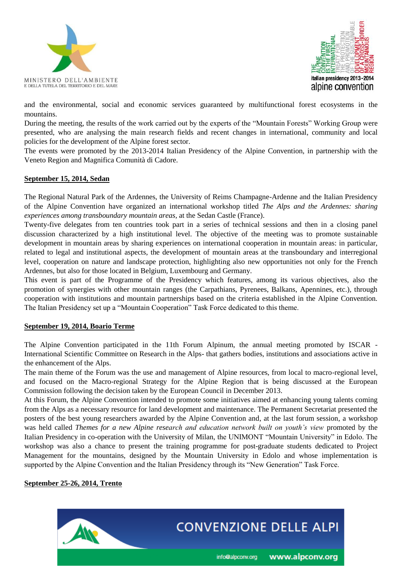



and the environmental, social and economic services guaranteed by multifunctional forest ecosystems in the mountains.

During the meeting, the results of the work carried out by the experts of the "Mountain Forests" Working Group were presented, who are analysing the main research fields and recent changes in international, community and local policies for the development of the Alpine forest sector.

The events were promoted by the 2013-2014 Italian Presidency of the Alpine Convention, in partnership with the Veneto Region and Magnifica Comunità di Cadore.

#### **September 15, 2014, Sedan**

The Regional Natural Park of the Ardennes, the University of Reims Champagne-Ardenne and the Italian Presidency of the Alpine Convention have organized an international workshop titled *The Alps and the Ardennes: sharing experiences among transboundary mountain areas,* at the Sedan Castle (France).

Twenty-five delegates from ten countries took part in a series of technical sessions and then in a closing panel discussion characterized by a high institutional level. The objective of the meeting was to promote sustainable development in mountain areas by sharing experiences on international cooperation in mountain areas: in particular, related to legal and institutional aspects, the development of mountain areas at the transboundary and interregional level, cooperation on nature and landscape protection, highlighting also new opportunities not only for the French Ardennes, but also for those located in Belgium, Luxembourg and Germany.

This event is part of the Programme of the Presidency which features, among its various objectives, also the promotion of synergies with other mountain ranges (the Carpathians, Pyrenees, Balkans, Apennines, etc.), through cooperation with institutions and mountain partnerships based on the criteria established in the Alpine Convention. The Italian Presidency set up a "Mountain Cooperation" Task Force dedicated to this theme.

#### **September 19, 2014, Boario Terme**

The Alpine Convention participated in the 11th Forum Alpinum, the annual meeting promoted by ISCAR - International Scientific Committee on Research in the Alps- that gathers bodies, institutions and associations active in the enhancement of the Alps.

The main theme of the Forum was the use and management of Alpine resources, from local to macro-regional level, and focused on the Macro-regional Strategy for the Alpine Region that is being discussed at the European Commission following the decision taken by the European Council in December 2013.

At this Forum, the Alpine Convention intended to promote some initiatives aimed at enhancing young talents coming from the Alps as a necessary resource for land development and maintenance. The Permanent Secretariat presented the posters of the best young researchers awarded by the Alpine Convention and, at the last forum session, a workshop was held called *Themes for a new Alpine research and education network built on youth's view* promoted by the Italian Presidency in co-operation with the University of Milan, the UNIMONT "Mountain University" in Edolo. The workshop was also a chance to present the training programme for post-graduate students dedicated to Project Management for the mountains, designed by the Mountain University in Edolo and whose implementation is supported by the Alpine Convention and the Italian Presidency through its "New Generation" Task Force.

#### **September 25-26, 2014, Trento**

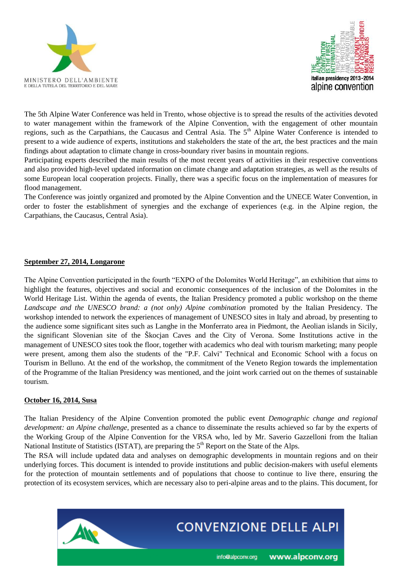



The 5th Alpine Water Conference was held in Trento, whose objective is to spread the results of the activities devoted to water management within the framework of the Alpine Convention, with the engagement of other mountain regions, such as the Carpathians, the Caucasus and Central Asia. The 5<sup>th</sup> Alpine Water Conference is intended to present to a wide audience of experts, institutions and stakeholders the state of the art, the best practices and the main findings about adaptation to climate change in cross-boundary river basins in mountain regions.

Participating experts described the main results of the most recent years of activities in their respective conventions and also provided high-level updated information on climate change and adaptation strategies, as well as the results of some European local cooperation projects. Finally, there was a specific focus on the implementation of measures for flood management.

The Conference was jointly organized and promoted by the Alpine Convention and the UNECE Water Convention, in order to foster the establishment of synergies and the exchange of experiences (e.g. in the Alpine region, the Carpathians, the Caucasus, Central Asia).

#### **September 27, 2014, Longarone**

The Alpine Convention participated in the fourth "EXPO of the Dolomites World Heritage", an exhibition that aims to highlight the features, objectives and social and economic consequences of the inclusion of the Dolomites in the World Heritage List. Within the agenda of events, the Italian Presidency promoted a public workshop on the theme *Landscape and the UNESCO brand: a (not only) Alpine combination* promoted by the Italian Presidency. The workshop intended to network the experiences of management of UNESCO sites in Italy and abroad, by presenting to the audience some significant sites such as Langhe in the Monferrato area in Piedmont, the Aeolian islands in Sicily, the significant Slovenian site of the Škocjan Caves and the City of Verona. Some Institutions active in the management of UNESCO sites took the floor, together with academics who deal with tourism marketing; many people were present, among them also the students of the "P.F. Calvi" Technical and Economic School with a focus on Tourism in Belluno. At the end of the workshop, the commitment of the Veneto Region towards the implementation of the Programme of the Italian Presidency was mentioned, and the joint work carried out on the themes of sustainable tourism.

#### **October 16, 2014, Susa**

The Italian Presidency of the Alpine Convention promoted the public event *Demographic change and regional development: an Alpine challenge,* presented as a chance to disseminate the results achieved so far by the experts of the Working Group of the Alpine Convention for the VRSA who, led by Mr. Saverio Gazzelloni from the Italian National Institute of Statistics (ISTAT), are preparing the  $5<sup>th</sup>$  Report on the State of the Alps.

The RSA will include updated data and analyses on demographic developments in mountain regions and on their underlying forces. This document is intended to provide institutions and public decision-makers with useful elements for the protection of mountain settlements and of populations that choose to continue to live there, ensuring the protection of its ecosystem services, which are necessary also to peri-alpine areas and to the plains. This document, for

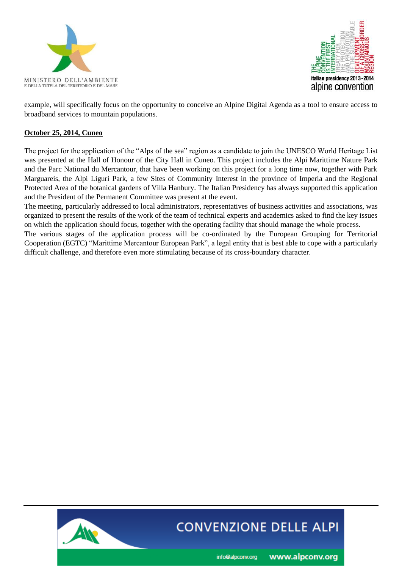



example, will specifically focus on the opportunity to conceive an Alpine Digital Agenda as a tool to ensure access to broadband services to mountain populations.

### **October 25, 2014, Cuneo**

The project for the application of the "Alps of the sea" region as a candidate to join the UNESCO World Heritage List was presented at the Hall of Honour of the City Hall in Cuneo. This project includes the Alpi Marittime Nature Park and the Parc National du Mercantour, that have been working on this project for a long time now, together with Park Marguareis, the Alpi Liguri Park, a few Sites of Community Interest in the province of Imperia and the Regional Protected Area of the botanical gardens of Villa Hanbury. The Italian Presidency has always supported this application and the President of the Permanent Committee was present at the event.

The meeting, particularly addressed to local administrators, representatives of business activities and associations, was organized to present the results of the work of the team of technical experts and academics asked to find the key issues on which the application should focus, together with the operating facility that should manage the whole process.

The various stages of the application process will be co-ordinated by the European Grouping for Territorial Cooperation (EGTC) "Marittime Mercantour European Park", a legal entity that is best able to cope with a particularly difficult challenge, and therefore even more stimulating because of its cross-boundary character.



# **CONVENZIONE DELLE ALPI**